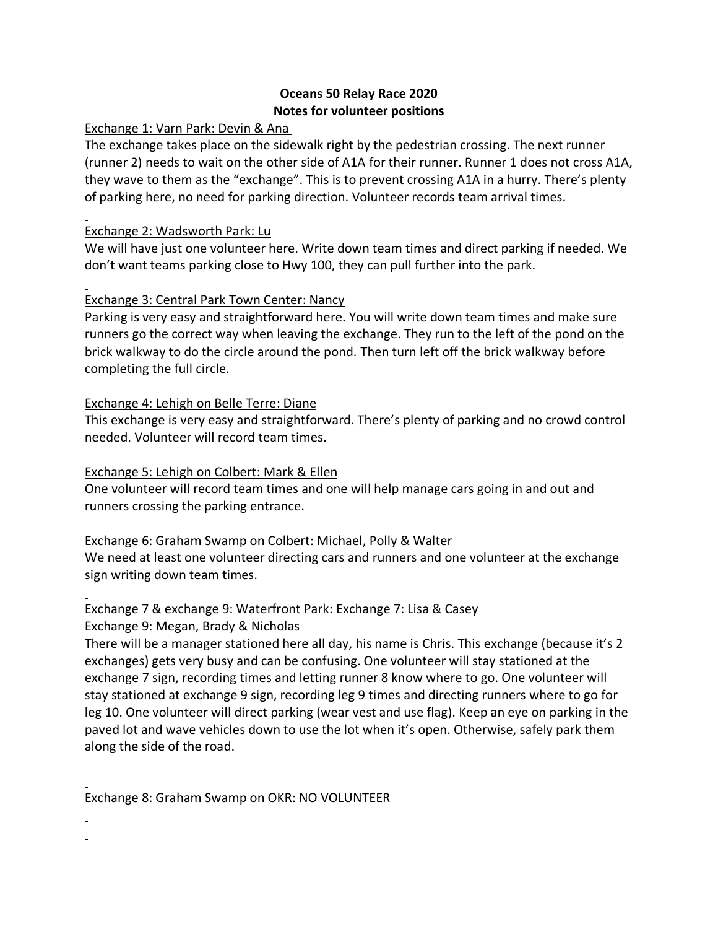## **Oceans 50 Relay Race 2020 Notes for volunteer positions**

### Exchange 1: Varn Park: Devin & Ana

The exchange takes place on the sidewalk right by the pedestrian crossing. The next runner (runner 2) needs to wait on the other side of A1A for their runner. Runner 1 does not cross A1A, they wave to them as the "exchange". This is to prevent crossing A1A in a hurry. There's plenty of parking here, no need for parking direction. Volunteer records team arrival times.

## Exchange 2: Wadsworth Park: Lu

We will have just one volunteer here. Write down team times and direct parking if needed. We don't want teams parking close to Hwy 100, they can pull further into the park.

## Exchange 3: Central Park Town Center: Nancy

Parking is very easy and straightforward here. You will write down team times and make sure runners go the correct way when leaving the exchange. They run to the left of the pond on the brick walkway to do the circle around the pond. Then turn left off the brick walkway before completing the full circle.

#### Exchange 4: Lehigh on Belle Terre: Diane

This exchange is very easy and straightforward. There's plenty of parking and no crowd control needed. Volunteer will record team times.

### Exchange 5: Lehigh on Colbert: Mark & Ellen

One volunteer will record team times and one will help manage cars going in and out and runners crossing the parking entrance.

## Exchange 6: Graham Swamp on Colbert: Michael, Polly & Walter

We need at least one volunteer directing cars and runners and one volunteer at the exchange sign writing down team times.

# Exchange 7 & exchange 9: Waterfront Park: Exchange 7: Lisa & Casey

Exchange 9: Megan, Brady & Nicholas

There will be a manager stationed here all day, his name is Chris. This exchange (because it's 2 exchanges) gets very busy and can be confusing. One volunteer will stay stationed at the exchange 7 sign, recording times and letting runner 8 know where to go. One volunteer will stay stationed at exchange 9 sign, recording leg 9 times and directing runners where to go for leg 10. One volunteer will direct parking (wear vest and use flag). Keep an eye on parking in the paved lot and wave vehicles down to use the lot when it's open. Otherwise, safely park them along the side of the road.

## Exchange 8: Graham Swamp on OKR: NO VOLUNTEER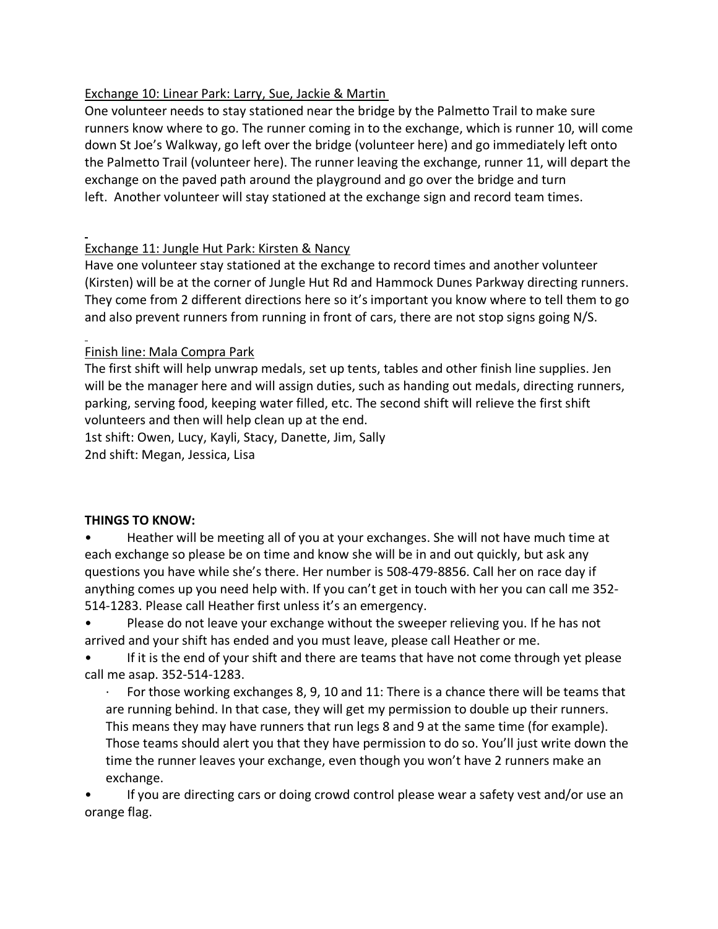# Exchange 10: Linear Park: Larry, Sue, Jackie & Martin

One volunteer needs to stay stationed near the bridge by the Palmetto Trail to make sure runners know where to go. The runner coming in to the exchange, which is runner 10, will come down St Joe's Walkway, go left over the bridge (volunteer here) and go immediately left onto the Palmetto Trail (volunteer here). The runner leaving the exchange, runner 11, will depart the exchange on the paved path around the playground and go over the bridge and turn left. Another volunteer will stay stationed at the exchange sign and record team times.

# Exchange 11: Jungle Hut Park: Kirsten & Nancy

Have one volunteer stay stationed at the exchange to record times and another volunteer (Kirsten) will be at the corner of Jungle Hut Rd and Hammock Dunes Parkway directing runners. They come from 2 different directions here so it's important you know where to tell them to go and also prevent runners from running in front of cars, there are not stop signs going N/S.

## Finish line: Mala Compra Park

The first shift will help unwrap medals, set up tents, tables and other finish line supplies. Jen will be the manager here and will assign duties, such as handing out medals, directing runners, parking, serving food, keeping water filled, etc. The second shift will relieve the first shift volunteers and then will help clean up at the end.

1st shift: Owen, Lucy, Kayli, Stacy, Danette, Jim, Sally

2nd shift: Megan, Jessica, Lisa

## **THINGS TO KNOW:**

- Heather will be meeting all of you at your exchanges. She will not have much time at each exchange so please be on time and know she will be in and out quickly, but ask any questions you have while she's there. Her number is 508-479-8856. Call her on race day if anything comes up you need help with. If you can't get in touch with her you can call me 352- 514-1283. Please call Heather first unless it's an emergency.
- Please do not leave your exchange without the sweeper relieving you. If he has not arrived and your shift has ended and you must leave, please call Heather or me.
- If it is the end of your shift and there are teams that have not come through yet please call me asap. 352-514-1283.
	- For those working exchanges 8, 9, 10 and 11: There is a chance there will be teams that are running behind. In that case, they will get my permission to double up their runners. This means they may have runners that run legs 8 and 9 at the same time (for example). Those teams should alert you that they have permission to do so. You'll just write down the time the runner leaves your exchange, even though you won't have 2 runners make an exchange.
- If you are directing cars or doing crowd control please wear a safety vest and/or use an orange flag.